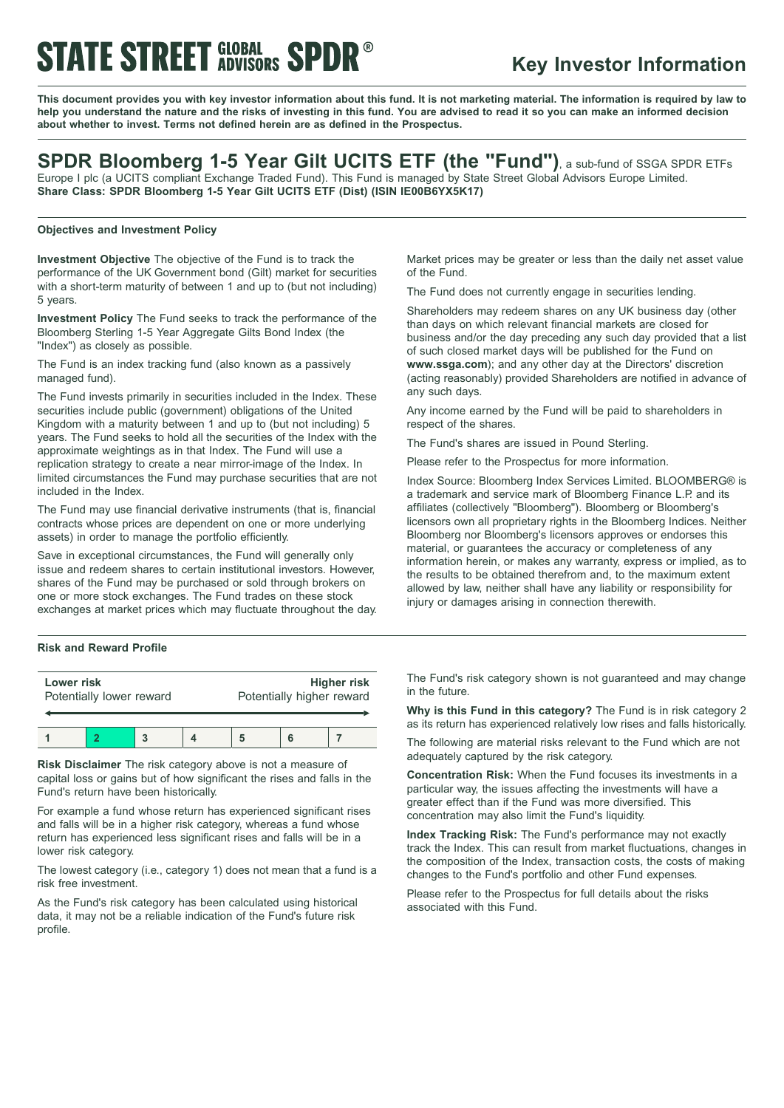# **STATE STREET GLOBAL SPDR®**

### **Key Investor Information**

This document provides you with key investor information about this fund. It is not marketing material. The information is required by law to help you understand the nature and the risks of investing in this fund. You are advised to read it so you can make an informed decision **about whether to invest. Terms not defined herein are as defined in the Prospectus.**

### **SPDR Bloomberg 1-5 Year Gilt UCITS ETF (the "Fund")**, <sup>a</sup> sub-fund of SSGA SPDR ETFs

Europe I plc (a UCITS compliant Exchange Traded Fund). This Fund is managed by State Street Global Advisors Europe Limited. **Share Class: SPDR Bloomberg 1-5 Year Gilt UCITS ETF (Dist) (ISIN IE00B6YX5K17)**

#### **Objectives and Investment Policy**

**Investment Objective** The objective of the Fund is to track the performance of the UK Government bond (Gilt) market for securities with a short-term maturity of between 1 and up to (but not including) 5 years.

**Investment Policy** The Fund seeks to track the performance of the Bloomberg Sterling 1-5 Year Aggregate Gilts Bond Index (the "Index") as closely as possible.

The Fund is an index tracking fund (also known as a passively managed fund).

The Fund invests primarily in securities included in the Index. These securities include public (government) obligations of the United Kingdom with a maturity between 1 and up to (but not including) 5 years. The Fund seeks to hold all the securities of the Index with the approximate weightings as in that Index. The Fund will use a replication strategy to create a near mirror-image of the Index. In limited circumstances the Fund may purchase securities that are not included in the Index.

The Fund may use financial derivative instruments (that is, financial contracts whose prices are dependent on one or more underlying assets) in order to manage the portfolio efficiently.

Save in exceptional circumstances, the Fund will generally only issue and redeem shares to certain institutional investors. However, shares of the Fund may be purchased or sold through brokers on one or more stock exchanges. The Fund trades on these stock exchanges at market prices which may fluctuate throughout the day.

#### **Risk and Reward Profile**

| Lower risk<br>Potentially lower reward |  |  | Higher risk<br>Potentially higher reward |  |  |
|----------------------------------------|--|--|------------------------------------------|--|--|
|                                        |  |  |                                          |  |  |

**Risk Disclaimer** The risk category above is not a measure of capital loss or gains but of how significant the rises and falls in the Fund's return have been historically.

For example a fund whose return has experienced significant rises and falls will be in a higher risk category, whereas a fund whose return has experienced less significant rises and falls will be in a lower risk category.

The lowest category (i.e., category 1) does not mean that a fund is a risk free investment.

As the Fund's risk category has been calculated using historical data, it may not be a reliable indication of the Fund's future risk profile.

Market prices may be greater or less than the daily net asset value of the Fund.

The Fund does not currently engage in securities lending.

Shareholders may redeem shares on any UK business day (other than days on which relevant financial markets are closed for business and/or the day preceding any such day provided that a list of such closed market days will be published for the Fund on **www.ssga.com**); and any other day at the Directors' discretion (acting reasonably) provided Shareholders are notified in advance of any such days.

Any income earned by the Fund will be paid to shareholders in respect of the shares.

The Fund's shares are issued in Pound Sterling.

Please refer to the Prospectus for more information.

Index Source: Bloomberg Index Services Limited. BLOOMBERG® is a trademark and service mark of Bloomberg Finance L.P. and its affiliates (collectively "Bloomberg"). Bloomberg or Bloomberg's licensors own all proprietary rights in the Bloomberg Indices. Neither Bloomberg nor Bloomberg's licensors approves or endorses this material, or guarantees the accuracy or completeness of any information herein, or makes any warranty, express or implied, as to the results to be obtained therefrom and, to the maximum extent allowed by law, neither shall have any liability or responsibility for injury or damages arising in connection therewith.

The Fund's risk category shown is not guaranteed and may change in the future.

**Why is this Fund in this category?** The Fund is in risk category 2 as its return has experienced relatively low rises and falls historically.

The following are material risks relevant to the Fund which are not adequately captured by the risk category.

**Concentration Risk:** When the Fund focuses its investments in a particular way, the issues affecting the investments will have a greater effect than if the Fund was more diversified. This concentration may also limit the Fund's liquidity.

**Index Tracking Risk:** The Fund's performance may not exactly track the Index. This can result from market fluctuations, changes in the composition of the Index, transaction costs, the costs of making changes to the Fund's portfolio and other Fund expenses.

Please refer to the Prospectus for full details about the risks associated with this Fund.